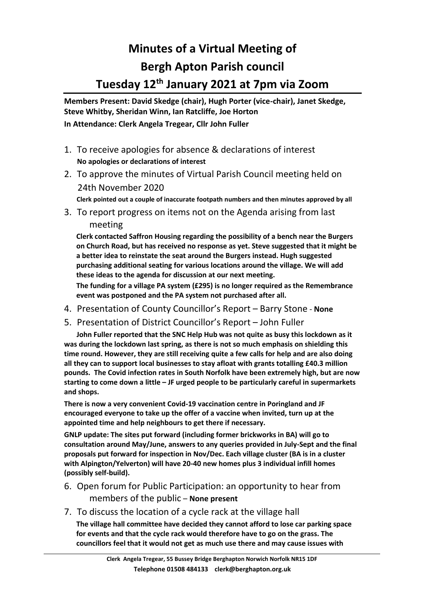## **Minutes of a Virtual Meeting of Bergh Apton Parish council Tuesday 12th January 2021 at 7pm via Zoom**

**Members Present: David Skedge (chair), Hugh Porter (vice-chair), Janet Skedge, Steve Whitby, Sheridan Winn, Ian Ratcliffe, Joe Horton In Attendance: Clerk Angela Tregear, Cllr John Fuller**

- 1. To receive apologies for absence & declarations of interest  **No apologies or declarations of interest**
- 2. To approve the minutes of Virtual Parish Council meeting held on 24th November 2020

 **Clerk pointed out a couple of inaccurate footpath numbers and then minutes approved by all**

3. To report progress on items not on the Agenda arising from last meeting

**Clerk contacted Saffron Housing regarding the possibility of a bench near the Burgers on Church Road, but has received no response as yet. Steve suggested that it might be a better idea to reinstate the seat around the Burgers instead. Hugh suggested purchasing additional seating for various locations around the village. We will add these ideas to the agenda for discussion at our next meeting.**

**The funding for a village PA system (£295) is no longer required as the Remembrance event was postponed and the PA system not purchased after all.**

- 4. Presentation of County Councillor's Report Barry Stone **None**
- 5. Presentation of District Councillor's Report John Fuller

 **John Fuller reported that the SNC Help Hub was not quite as busy this lockdown as it was during the lockdown last spring, as there is not so much emphasis on shielding this time round. However, they are still receiving quite a few calls for help and are also doing all they can to support local businesses to stay afloat with grants totalling £40.3 million pounds. The Covid infection rates in South Norfolk have been extremely high, but are now starting to come down a little – JF urged people to be particularly careful in supermarkets and shops.** 

**There is now a very convenient Covid-19 vaccination centre in Poringland and JF encouraged everyone to take up the offer of a vaccine when invited, turn up at the appointed time and help neighbours to get there if necessary.** 

**GNLP update: The sites put forward (including former brickworks in BA) will go to consultation around May/June, answers to any queries provided in July-Sept and the final proposals put forward for inspection in Nov/Dec. Each village cluster (BA is in a cluster with Alpington/Yelverton) will have 20-40 new homes plus 3 individual infill homes (possibly self-build).** 

- 6. Open forum for Public Participation: an opportunity to hear from members of the public – **None present**
- 7. To discuss the location of a cycle rack at the village hall **The village hall committee have decided they cannot afford to lose car parking space for events and that the cycle rack would therefore have to go on the grass. The councillors feel that it would not get as much use there and may cause issues with**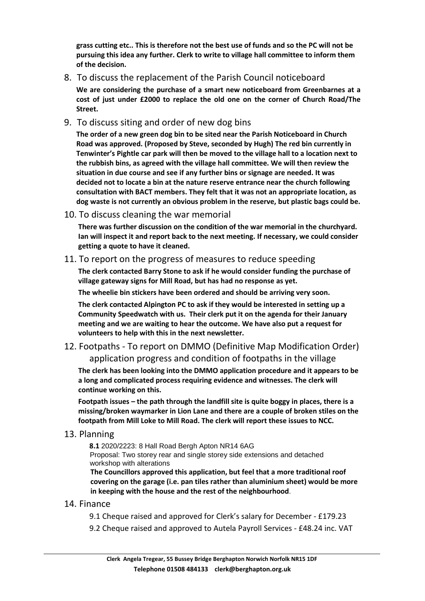**grass cutting etc.. This is therefore not the best use of funds and so the PC will not be pursuing this idea any further. Clerk to write to village hall committee to inform them of the decision.** 

## 8. To discuss the replacement of the Parish Council noticeboard

**We are considering the purchase of a smart new noticeboard from Greenbarnes at a cost of just under £2000 to replace the old one on the corner of Church Road/The Street.** 

9. To discuss siting and order of new dog bins

**The order of a new green dog bin to be sited near the Parish Noticeboard in Church Road was approved. (Proposed by Steve, seconded by Hugh) The red bin currently in Tenwinter's Pightle car park will then be moved to the village hall to a location next to the rubbish bins, as agreed with the village hall committee. We will then review the situation in due course and see if any further bins or signage are needed. It was decided not to locate a bin at the nature reserve entrance near the church following consultation with BACT members. They felt that it was not an appropriate location, as dog waste is not currently an obvious problem in the reserve, but plastic bags could be.**

10. To discuss cleaning the war memorial

**There was further discussion on the condition of the war memorial in the churchyard. Ian will inspect it and report back to the next meeting. If necessary, we could consider getting a quote to have it cleaned.** 

11. To report on the progress of measures to reduce speeding

**The clerk contacted Barry Stone to ask if he would consider funding the purchase of village gateway signs for Mill Road, but has had no response as yet.** 

**The wheelie bin stickers have been ordered and should be arriving very soon.**

**The clerk contacted Alpington PC to ask if they would be interested in setting up a Community Speedwatch with us. Their clerk put it on the agenda for their January meeting and we are waiting to hear the outcome. We have also put a request for volunteers to help with this in the next newsletter.** 

12. Footpaths - To report on DMMO (Definitive Map Modification Order) application progress and condition of footpaths in the village

**The clerk has been looking into the DMMO application procedure and it appears to be a long and complicated process requiring evidence and witnesses. The clerk will continue working on this.**

**Footpath issues – the path through the landfill site is quite boggy in places, there is a missing/broken waymarker in Lion Lane and there are a couple of broken stiles on the footpath from Mill Loke to Mill Road. The clerk will report these issues to NCC.** 

## 13. Planning

**8.1** 2020/2223: 8 Hall Road Bergh Apton NR14 6AG Proposal: Two storey rear and single storey side extensions and detached workshop with alterations

**The Councillors approved this application, but feel that a more traditional roof covering on the garage (i.e. pan tiles rather than aluminium sheet) would be more in keeping with the house and the rest of the neighbourhood**.

## 14. Finance

9.1 Cheque raised and approved for Clerk's salary for December - £179.23

9.2 Cheque raised and approved to Autela Payroll Services - £48.24 inc. VAT